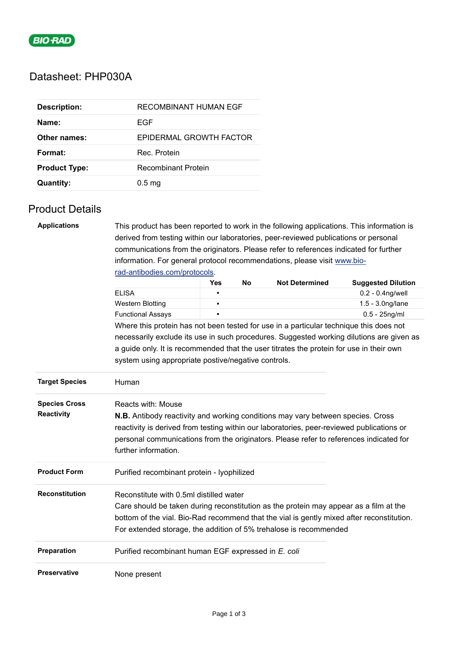

## Datasheet: PHP030A

| <b>Description:</b>  | RECOMBINANT HUMAN EGF   |
|----------------------|-------------------------|
| Name:                | EGF                     |
| Other names:         | EPIDERMAL GROWTH FACTOR |
| Format:              | Rec Protein             |
| <b>Product Type:</b> | Recombinant Protein     |
| Quantity:            | 0.5 <sub>ma</sub>       |

## Product Details

| <b>Applications</b><br>This product has been reported to work in the following applications. This information is |                                                                                                                |            |           |                       |                           |  |  |
|------------------------------------------------------------------------------------------------------------------|----------------------------------------------------------------------------------------------------------------|------------|-----------|-----------------------|---------------------------|--|--|
|                                                                                                                  | derived from testing within our laboratories, peer-reviewed publications or personal                           |            |           |                       |                           |  |  |
|                                                                                                                  | communications from the originators. Please refer to references indicated for further                          |            |           |                       |                           |  |  |
|                                                                                                                  | information. For general protocol recommendations, please visit www.bio-<br>rad-antibodies.com/protocols.      |            |           |                       |                           |  |  |
|                                                                                                                  |                                                                                                                |            |           |                       |                           |  |  |
|                                                                                                                  |                                                                                                                | <b>Yes</b> | <b>No</b> | <b>Not Determined</b> | <b>Suggested Dilution</b> |  |  |
|                                                                                                                  | <b>ELISA</b>                                                                                                   |            |           |                       | 0.2 - 0.4ng/well          |  |  |
|                                                                                                                  | <b>Western Blotting</b>                                                                                        | п          |           |                       | 1.5 - 3.0ng/lane          |  |  |
|                                                                                                                  | <b>Functional Assays</b>                                                                                       |            |           |                       | $0.5 - 25$ ng/ml          |  |  |
|                                                                                                                  | Where this protein has not been tested for use in a particular technique this does not                         |            |           |                       |                           |  |  |
|                                                                                                                  | necessarily exclude its use in such procedures. Suggested working dilutions are given as                       |            |           |                       |                           |  |  |
|                                                                                                                  | a guide only. It is recommended that the user titrates the protein for use in their own                        |            |           |                       |                           |  |  |
|                                                                                                                  | system using appropriate postive/negative controls.                                                            |            |           |                       |                           |  |  |
|                                                                                                                  |                                                                                                                |            |           |                       |                           |  |  |
| <b>Target Species</b>                                                                                            | Human                                                                                                          |            |           |                       |                           |  |  |
| <b>Species Cross</b>                                                                                             | Reacts with: Mouse                                                                                             |            |           |                       |                           |  |  |
| <b>Reactivity</b>                                                                                                | <b>N.B.</b> Antibody reactivity and working conditions may vary between species. Cross                         |            |           |                       |                           |  |  |
|                                                                                                                  | reactivity is derived from testing within our laboratories, peer-reviewed publications or                      |            |           |                       |                           |  |  |
|                                                                                                                  |                                                                                                                |            |           |                       |                           |  |  |
|                                                                                                                  | personal communications from the originators. Please refer to references indicated for<br>further information. |            |           |                       |                           |  |  |
|                                                                                                                  |                                                                                                                |            |           |                       |                           |  |  |
| <b>Product Form</b>                                                                                              | Purified recombinant protein - lyophilized                                                                     |            |           |                       |                           |  |  |
| <b>Reconstitution</b>                                                                                            | Reconstitute with 0.5ml distilled water                                                                        |            |           |                       |                           |  |  |
|                                                                                                                  | Care should be taken during reconstitution as the protein may appear as a film at the                          |            |           |                       |                           |  |  |
|                                                                                                                  | bottom of the vial. Bio-Rad recommend that the vial is gently mixed after reconstitution.                      |            |           |                       |                           |  |  |
|                                                                                                                  | For extended storage, the addition of 5% trehalose is recommended                                              |            |           |                       |                           |  |  |
| Preparation                                                                                                      | Purified recombinant human EGF expressed in E. coli                                                            |            |           |                       |                           |  |  |
| <b>Preservative</b>                                                                                              | None present                                                                                                   |            |           |                       |                           |  |  |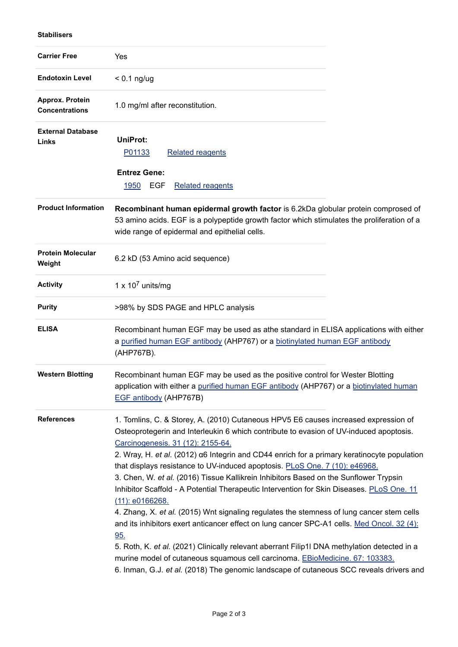## **Stabilisers**

| <b>Carrier Free</b>                      | Yes                                                                                                                                                                                                                                                                                                                                                                                                                                                                                                                                                                                                                                                                                                                                                                                                                                                                                                                                                                                                                                                                                       |  |  |
|------------------------------------------|-------------------------------------------------------------------------------------------------------------------------------------------------------------------------------------------------------------------------------------------------------------------------------------------------------------------------------------------------------------------------------------------------------------------------------------------------------------------------------------------------------------------------------------------------------------------------------------------------------------------------------------------------------------------------------------------------------------------------------------------------------------------------------------------------------------------------------------------------------------------------------------------------------------------------------------------------------------------------------------------------------------------------------------------------------------------------------------------|--|--|
| <b>Endotoxin Level</b>                   | $< 0.1$ ng/ug                                                                                                                                                                                                                                                                                                                                                                                                                                                                                                                                                                                                                                                                                                                                                                                                                                                                                                                                                                                                                                                                             |  |  |
| Approx. Protein<br><b>Concentrations</b> | 1.0 mg/ml after reconstitution.                                                                                                                                                                                                                                                                                                                                                                                                                                                                                                                                                                                                                                                                                                                                                                                                                                                                                                                                                                                                                                                           |  |  |
| <b>External Database</b><br>Links        | <b>UniProt:</b><br><b>Related reagents</b><br>P01133<br><b>Entrez Gene:</b><br><b>EGF</b><br>1950<br><b>Related reagents</b>                                                                                                                                                                                                                                                                                                                                                                                                                                                                                                                                                                                                                                                                                                                                                                                                                                                                                                                                                              |  |  |
| <b>Product Information</b>               | Recombinant human epidermal growth factor is 6.2kDa globular protein comprosed of<br>53 amino acids. EGF is a polypeptide growth factor which stimulates the proliferation of a<br>wide range of epidermal and epithelial cells.                                                                                                                                                                                                                                                                                                                                                                                                                                                                                                                                                                                                                                                                                                                                                                                                                                                          |  |  |
| <b>Protein Molecular</b><br>Weight       | 6.2 kD (53 Amino acid sequence)                                                                                                                                                                                                                                                                                                                                                                                                                                                                                                                                                                                                                                                                                                                                                                                                                                                                                                                                                                                                                                                           |  |  |
| <b>Activity</b>                          | 1 x $10^7$ units/mg                                                                                                                                                                                                                                                                                                                                                                                                                                                                                                                                                                                                                                                                                                                                                                                                                                                                                                                                                                                                                                                                       |  |  |
| <b>Purity</b>                            | >98% by SDS PAGE and HPLC analysis                                                                                                                                                                                                                                                                                                                                                                                                                                                                                                                                                                                                                                                                                                                                                                                                                                                                                                                                                                                                                                                        |  |  |
| <b>ELISA</b>                             | Recombinant human EGF may be used as athe standard in ELISA applications with either<br>a purified human EGF antibody (AHP767) or a biotinylated human EGF antibody<br>(AHP767B).                                                                                                                                                                                                                                                                                                                                                                                                                                                                                                                                                                                                                                                                                                                                                                                                                                                                                                         |  |  |
| <b>Western Blotting</b>                  | Recombinant human EGF may be used as the positive control for Wester Blotting<br>application with either a purified human EGF antibody (AHP767) or a biotinylated human<br>EGF antibody (AHP767B)                                                                                                                                                                                                                                                                                                                                                                                                                                                                                                                                                                                                                                                                                                                                                                                                                                                                                         |  |  |
| <b>References</b>                        | 1. Tomlins, C. & Storey, A. (2010) Cutaneous HPV5 E6 causes increased expression of<br>Osteoprotegerin and Interleukin 6 which contribute to evasion of UV-induced apoptosis.<br>Carcinogenesis. 31 (12): 2155-64.<br>2. Wray, H. et al. (2012) a6 Integrin and CD44 enrich for a primary keratinocyte population<br>that displays resistance to UV-induced apoptosis. PLoS One. 7 (10): e46968.<br>3. Chen, W. et al. (2016) Tissue Kallikrein Inhibitors Based on the Sunflower Trypsin<br>Inhibitor Scaffold - A Potential Therapeutic Intervention for Skin Diseases. PLoS One. 11<br>$(11)$ : e0166268.<br>4. Zhang, X. et al. (2015) Wnt signaling regulates the stemness of lung cancer stem cells<br>and its inhibitors exert anticancer effect on lung cancer SPC-A1 cells. Med Oncol. 32 (4):<br>95.<br>5. Roth, K. et al. (2021) Clinically relevant aberrant Filip1I DNA methylation detected in a<br>murine model of cutaneous squamous cell carcinoma. EBioMedicine. 67: 103383.<br>6. Inman, G.J. et al. (2018) The genomic landscape of cutaneous SCC reveals drivers and |  |  |